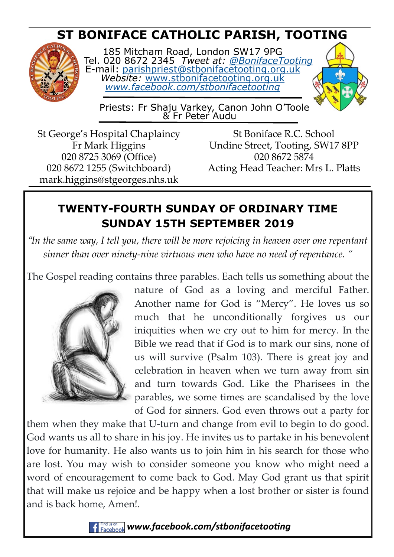# **ST BONIFACE CATHOLIC PARISH, TOOTING**



185 Mitcham Road, London SW17 9PG Tel. 020 8672 2345 *Tweet at: [@BonifaceTooting](http://twitter.com/bonifacetooting)* E-mail: [parishpriest@stbonifacetooting.org.uk](mailto:parishpriest@stbonifacetooting.org.uk) *Website:* [www.stbonifacetooting.org.uk](http://www.stbonifacetooting.org.uk) *[www.facebook.com/stbonifacetooting](http://www.facebook.com/stbonifacetooting)*



 Priests: Fr Shaju Varkey, Canon John O'Toole & Fr Peter Audu

St George's Hospital Chaplaincy Fr Mark Higgins 020 8725 3069 (Office) 020 8672 1255 (Switchboard) mark.higgins@stgeorges.nhs.uk

St Boniface R.C. School Undine Street, Tooting, SW17 8PP 020 8672 5874 Acting Head Teacher: Mrs L. Platts

### **TWENTY-FOURTH SUNDAY OF ORDINARY TIME SUNDAY 15TH SEPTEMBER 2019**

*"In the same way, I tell you, there will be more rejoicing in heaven over one repentant sinner than over ninety-nine virtuous men who have no need of repentance. "*

The Gospel reading contains three parables. Each tells us something about the



nature of God as a loving and merciful Father. Another name for God is "Mercy". He loves us so much that he unconditionally forgives us our iniquities when we cry out to him for mercy. In the Bible we read that if God is to mark our sins, none of us will survive (Psalm 103). There is great joy and celebration in heaven when we turn away from sin and turn towards God. Like the Pharisees in the parables, we some times are scandalised by the love of God for sinners. God even throws out a party for

them when they make that U-turn and change from evil to begin to do good. God wants us all to share in his joy. He invites us to partake in his benevolent love for humanity. He also wants us to join him in his search for those who are lost. You may wish to consider someone you know who might need a word of encouragement to come back to God. May God grant us that spirit that will make us rejoice and be happy when a lost brother or sister is found and is back home, Amen!.

 *www.facebook.com/stbonifacetooting*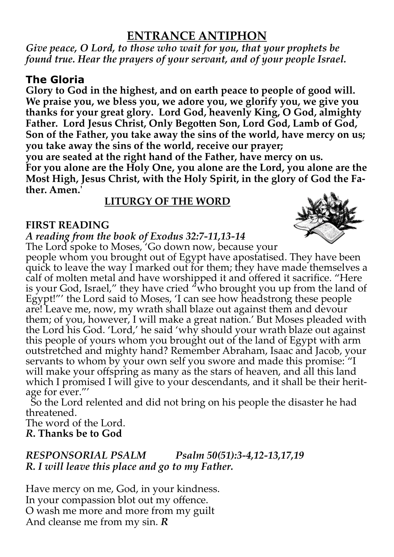## **ENTRANCE ANTIPHON**

*Give peace, O Lord, to those who wait for you, that your prophets be found true. Hear the prayers of your servant, and of your people Israel.* 

### **The Gloria**

**Glory to God in the highest, and on earth peace to people of good will. We praise you, we bless you, we adore you, we glorify you, we give you thanks for your great glory. Lord God, heavenly King, O God, almighty Father. Lord Jesus Christ, Only Begotten Son, Lord God, Lamb of God, Son of the Father, you take away the sins of the world, have mercy on us; you take away the sins of the world, receive our prayer;**

**you are seated at the right hand of the Father, have mercy on us. For you alone are the Holy One, you alone are the Lord, you alone are the Most High, Jesus Christ, with the Holy Spirit, in the glory of God the Father. Amen.'**

#### **LITURGY OF THE WORD**

#### **FIRST READING**

#### *A reading from the book of Exodus 32:7-11,13-14*



The Lord spoke to Moses, 'Go down now, because your people whom you brought out of Egypt have apostatised. They have been quick to leave the way I marked out for them; they have made themselves a calf of molten metal and have worshipped it and offered it sacrifice. "Here is your God, Israel," they have cried "who brought you up from the land of Egypt!"' the Lord said to Moses, 'I can see how headstrong these people are! Leave me, now, my wrath shall blaze out against them and devour them; of you, however, I will make a great nation.' But Moses pleaded with the Lord his God. 'Lord,' he said 'why should your wrath blaze out against this people of yours whom you brought out of the land of Egypt with arm outstretched and mighty hand? Remember Abraham, Isaac and Jacob, your servants to whom by your own self you swore and made this promise: "I will make your offspring as many as the stars of heaven, and all this land which I promised I will give to your descendants, and it shall be their heritage for ever."'

 So the Lord relented and did not bring on his people the disaster he had threatened.

The word of the Lord. *R***. Thanks be to God**

#### *RESPONSORIAL PSALM Psalm 50(51):3-4,12-13,17,19 R. I will leave this place and go to my Father.*

Have mercy on me, God, in your kindness. In your compassion blot out my offence. O wash me more and more from my guilt And cleanse me from my sin. *R*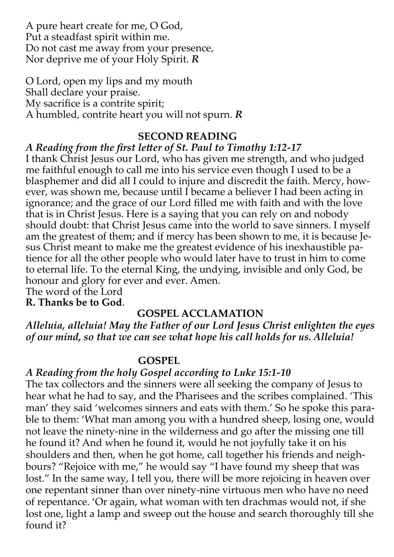A pure heart create for me, O God, Put a steadfast spirit within me. Do not cast me away from your presence, Nor deprive me of your Holy Spirit. *R*

O Lord, open my lips and my mouth Shall declare your praise. My sacrifice is a contrite spirit; A humbled, contrite heart you will not spurn. *R*

#### **SECOND READING**

#### *A Reading from the first letter of St. Paul to Timothy 1:12-17*

I thank Christ Jesus our Lord, who has given me strength, and who judged me faithful enough to call me into his service even though I used to be a blasphemer and did all I could to injure and discredit the faith. Mercy, however, was shown me, because until I became a believer I had been acting in ignorance; and the grace of our Lord filled me with faith and with the love that is in Christ Jesus. Here is a saying that you can rely on and nobody should doubt: that Christ Jesus came into the world to save sinners. I myself am the greatest of them; and if mercy has been shown to me, it is because Jesus Christ meant to make me the greatest evidence of his inexhaustible patience for all the other people who would later have to trust in him to come to eternal life. To the eternal King, the undying, invisible and only God, be honour and glory for ever and ever. Amen.

The word of the Lord **R. Thanks be to God**.

#### **GOSPEL ACCLAMATION**

*Alleluia, alleluia! May the Father of our Lord Jesus Christ enlighten the eyes of our mind, so that we can see what hope his call holds for us. Alleluia!*

#### **GOSPEL**

#### *A Reading from the holy Gospel according to Luke 15:1-10*

The tax collectors and the sinners were all seeking the company of Jesus to hear what he had to say, and the Pharisees and the scribes complained. 'This man' they said 'welcomes sinners and eats with them.' So he spoke this parable to them: 'What man among you with a hundred sheep, losing one, would not leave the ninety-nine in the wilderness and go after the missing one till he found it? And when he found it, would he not joyfully take it on his shoulders and then, when he got home, call together his friends and neighbours? "Rejoice with me," he would say "I have found my sheep that was lost." In the same way, I tell you, there will be more rejoicing in heaven over one repentant sinner than over ninety-nine virtuous men who have no need of repentance. 'Or again, what woman with ten drachmas would not, if she lost one, light a lamp and sweep out the house and search thoroughly till she found it?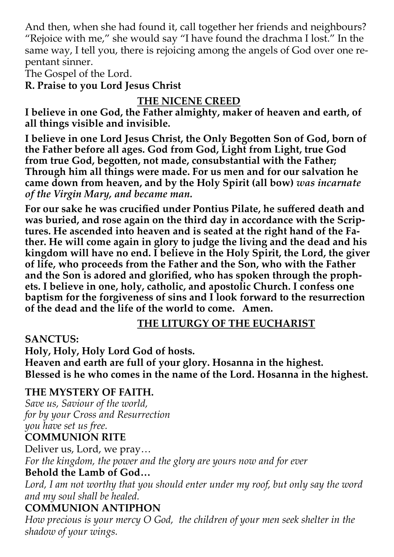And then, when she had found it, call together her friends and neighbours? "Rejoice with me," she would say "I have found the drachma I lost." In the same way, I tell you, there is rejoicing among the angels of God over one repentant sinner.

The Gospel of the Lord.

**R. Praise to you Lord Jesus Christ**

### **THE NICENE CREED**

**I believe in one God, the Father almighty, maker of heaven and earth, of all things visible and invisible.**

**I believe in one Lord Jesus Christ, the Only Begotten Son of God, born of the Father before all ages. God from God, Light from Light, true God from true God, begotten, not made, consubstantial with the Father; Through him all things were made. For us men and for our salvation he came down from heaven, and by the Holy Spirit (all bow)** *was incarnate of the Virgin Mary, and became man.* 

**For our sake he was crucified under Pontius Pilate, he suffered death and was buried, and rose again on the third day in accordance with the Scriptures. He ascended into heaven and is seated at the right hand of the Father. He will come again in glory to judge the living and the dead and his kingdom will have no end. I believe in the Holy Spirit, the Lord, the giver of life, who proceeds from the Father and the Son, who with the Father and the Son is adored and glorified, who has spoken through the prophets. I believe in one, holy, catholic, and apostolic Church. I confess one baptism for the forgiveness of sins and I look forward to the resurrection of the dead and the life of the world to come. Amen.** 

#### **THE LITURGY OF THE EUCHARIST**

**SANCTUS: Holy, Holy, Holy Lord God of hosts. Heaven and earth are full of your glory. Hosanna in the highest. Blessed is he who comes in the name of the Lord. Hosanna in the highest.** 

#### **THE MYSTERY OF FAITH.**

*Save us, Saviour of the world, for by your Cross and Resurrection you have set us free.* 

#### **COMMUNION RITE**

Deliver us, Lord, we pray… *For the kingdom, the power and the glory are yours now and for ever*

### **Behold the Lamb of God…**

Lord, I am not worthy that you should enter under my roof, but only say the word *and my soul shall be healed.*

### **COMMUNION ANTIPHON**

*How precious is your mercy O God, the children of your men seek shelter in the shadow of your wings.*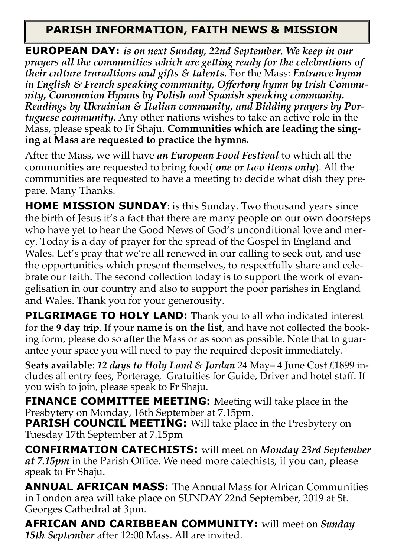### **PARISH INFORMATION, FAITH NEWS & MISSION**

**EUROPEAN DAY:** *is on next Sunday, 22nd September. We keep in our prayers all the communities which are getting ready for the celebrations of their culture traradtions and gifts & talents.* For the Mass: *Entrance hymn in English & French speaking community, Offertory hymn by Irish Community, Communion Hymns by Polish and Spanish speaking community. Readings by Ukrainian & Italian community, and Bidding prayers by Portuguese community.* Any other nations wishes to take an active role in the Mass, please speak to Fr Shaju. **Communities which are leading the singing at Mass are requested to practice the hymns.** 

After the Mass, we will have *an European Food Festival* to which all the communities are requested to bring food( *one or two items only*). All the communities are requested to have a meeting to decide what dish they prepare. Many Thanks.

**HOME MISSION SUNDAY**: is this Sunday. Two thousand years since the birth of Jesus it's a fact that there are many people on our own doorsteps who have yet to hear the Good News of God's unconditional love and mercy. Today is a day of prayer for the spread of the Gospel in England and Wales. Let's pray that we're all renewed in our calling to seek out, and use the opportunities which present themselves, to respectfully share and celebrate our faith. The second collection today is to support the work of evangelisation in our country and also to support the poor parishes in England and Wales. Thank you for your generousity.

**PILGRIMAGE TO HOLY LAND:** Thank you to all who indicated interest for the **9 day trip**. If your **name is on the list**, and have not collected the booking form, please do so after the Mass or as soon as possible. Note that to guarantee your space you will need to pay the required deposit immediately.

**Seats available**: *12 days to Holy Land & Jordan* 24 May– 4 June Cost £1899 includes all entry fees, Porterage, Gratuities for Guide, Driver and hotel staff. If you wish to join, please speak to Fr Shaju.

**FINANCE COMMITTEE MEETING:** Meeting will take place in the Presbytery on Monday, 16th September at 7.15pm.

PARISH COUNCIL MEETING: Will take place in the Presbytery on Tuesday 17th September at 7.15pm

**CONFIRMATION CATECHISTS:** will meet on *Monday 23rd September at 7.15pm* in the Parish Office. We need more catechists, if you can, please speak to Fr Shaju.

**ANNUAL AFRICAN MASS:** The Annual Mass for African Communities in London area will take place on SUNDAY 22nd September, 2019 at St. Georges Cathedral at 3pm.

**AFRICAN AND CARIBBEAN COMMUNITY:** will meet on *Sunday 15th September* after 12:00 Mass. All are invited.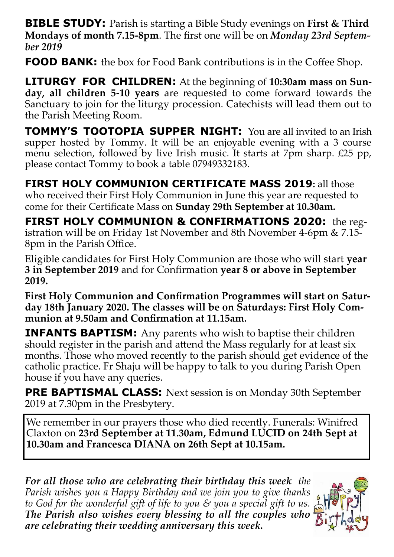**BIBLE STUDY:** Parish is starting a Bible Study evenings on **First & Third Mondays of month 7.15-8pm**. The first one will be on *Monday 23rd September 2019*

**FOOD BANK:** the box for Food Bank contributions is in the Coffee Shop.

**LITURGY FOR CHILDREN:** At the beginning of **10:30am mass on Sunday, all children 5-10 years** are requested to come forward towards the Sanctuary to join for the liturgy procession. Catechists will lead them out to the Parish Meeting Room.

**TOMMY'S TOOTOPIA SUPPER NIGHT:** You are all invited to an Irish supper hosted by Tommy. It will be an enjoyable evening with a 3 course menu selection, followed by live Irish music. It starts at 7pm sharp. £25 pp, please contact Tommy to book a table 07949332183.

**FIRST HOLY COMMUNION CERTIFICATE MASS 2019:** all those who received their First Holy Communion in June this year are requested to come for their Certificate Mass on **Sunday 29th September at 10.30am.**

**FIRST HOLY COMMUNION & CONFIRMATIONS 2020:** the registration will be on Friday 1st November and 8th November 4-6pm & 7.15- 8pm in the Parish Office.

Eligible candidates for First Holy Communion are those who will start **year 3 in September 2019** and for Confirmation **year 8 or above in September 2019.**

**First Holy Communion and Confirmation Programmes will start on Saturday 18th January 2020. The classes will be on Saturdays: First Holy Communion at 9.50am and Confirmation at 11.15am.**

**INFANTS BAPTISM:** Any parents who wish to baptise their children should register in the parish and attend the Mass regularly for at least six months. Those who moved recently to the parish should get evidence of the catholic practice. Fr Shaju will be happy to talk to you during Parish Open house if you have any queries.

**PRE BAPTISMAL CLASS:** Next session is on Monday 30th September 2019 at 7.30pm in the Presbytery.

We remember in our prayers those who died recently. Funerals: Winifred Claxton on **23rd September at 11.30am, Edmund LUCID on 24th Sept at 10.30am and Francesca DIANA on 26th Sept at 10.15am.** 

*For all those who are celebrating their birthday this week the Parish wishes you a Happy Birthday and we join you to give thanks to God for the wonderful gift of life to you & you a special gift to us. The Parish also wishes every blessing to all the couples who are celebrating their wedding anniversary this week.*

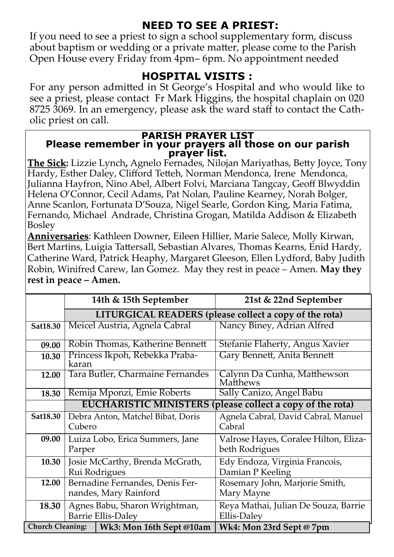### **NEED TO SEE A PRIEST:**

If you need to see a priest to sign a school supplementary form, discuss about baptism or wedding or a private matter, please come to the Parish Open House every Friday from 4pm– 6pm. No appointment needed

### **HOSPITAL VISITS :**

For any person admitted in St George's Hospital and who would like to see a priest, please contact Fr Mark Higgins, the hospital chaplain on 020 8725 3069. In an emergency, please ask the ward staff to contact the Catholic priest on call.

#### **PARISH PRAYER LIST Please remember in your prayers all those on our parish prayer list.**

**The Sick:** Lizzie Lynch**,** Agnelo Fernades, Nilojan Mariyathas, Betty Joyce, Tony Hardy, Esther Daley, Clifford Tetteh, Norman Mendonca, Irene Mendonca, Julianna Hayfron, Nino Abel, Albert Folvi, Marciana Tangcay, Geoff Blwyddin Helena O'Connor, Cecil Adams, Pat Nolan, Pauline Kearney, Norah Bolger, Anne Scanlon, Fortunata D'Souza, Nigel Searle, Gordon King, Maria Fatima, Fernando, Michael Andrade, Christina Grogan, Matilda Addison & Elizabeth Bosley

**Anniversaries**: Kathleen Downer, Eileen Hillier, Marie Salece, Molly Kirwan, Bert Martins, Luigia Tattersall, Sebastian Alvares, Thomas Kearns, Enid Hardy, Catherine Ward, Patrick Heaphy, Margaret Gleeson, Ellen Lydford, Baby Judith Robin, Winifred Carew, Ian Gomez. May they rest in peace – Amen. **May they rest in peace – Amen.**

|                         | 14th & 15th September                                               |                                                             | 21st & 22nd September                                   |  |  |
|-------------------------|---------------------------------------------------------------------|-------------------------------------------------------------|---------------------------------------------------------|--|--|
|                         | LITURGICAL READERS (please collect a copy of the rota)              |                                                             |                                                         |  |  |
| Sat18.30                |                                                                     | Nancy Biney, Adrian Alfred<br>Meicel Austria, Agnela Cabral |                                                         |  |  |
| 09.00                   |                                                                     | Robin Thomas, Katherine Bennett                             | Stefanie Flaherty, Angus Xavier                         |  |  |
| 10.30                   | karan                                                               | Princess Ikpoh, Rebekka Praba-                              | Gary Bennett, Anita Bennett                             |  |  |
| 12.00                   |                                                                     | Tara Butler, Charmaine Fernandes                            | Calynn Da Cunha, Matthewson<br>Matthews                 |  |  |
| 18.30                   |                                                                     | Remija Mponzi, Emie Roberts                                 | Sally Canizo, Angel Babu                                |  |  |
|                         | <b>EUCHARISTIC MINISTERS</b><br>(please collect a copy of the rota) |                                                             |                                                         |  |  |
| Sat18.30                | Debra Anton, Matchel Bibat, Doris<br>Cubero                         |                                                             | Agnela Cabral, David Cabral, Manuel<br>Cabral           |  |  |
| 09.00                   | Luiza Lobo, Erica Summers, Jane<br>Parper                           |                                                             | Valrose Hayes, Coralee Hilton, Eliza-<br>beth Rodrigues |  |  |
| 10.30                   | Josie McCarthy, Brenda McGrath,<br>Rui Rodrigues                    |                                                             | Edy Endoza, Virginia Francois,<br>Damian P Keeling      |  |  |
| 12.00                   | Bernadine Fernandes, Denis Fer-<br>nandes, Mary Rainford            |                                                             | Rosemary John, Marjorie Smith,<br>Mary Mayne            |  |  |
| 18.30                   | Agnes Babu, Sharon Wrightman,<br><b>Barrie Ellis-Daley</b>          |                                                             | Reya Mathai, Julian De Souza, Barrie<br>Ellis-Daley     |  |  |
| <b>Church Cleaning:</b> |                                                                     | Wk3: Mon 16th Sept @10am                                    | Wk4: Mon 23rd Sept @ 7pm                                |  |  |